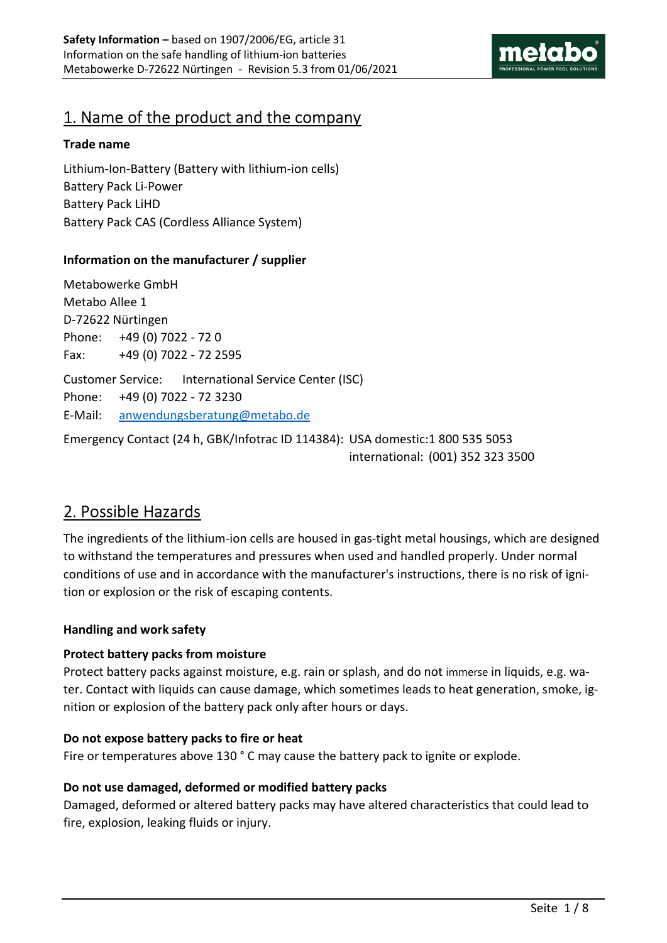

## 1. Name of the product and the company

### Trade name

Lithium-Ion-Battery (Battery with lithium-ion cells) Battery Pack Li-Power Battery Pack LiHD Battery Pack CAS (Cordless Alliance System)

## Information on the manufacturer / supplier

Metabowerke GmbH Metabo Allee 1 D-72622 Nürtingen Phone: +49 (0) 7022 - 72 0 Fax: +49 (0) 7022 - 72 2595 Customer Service: International Service Center (ISC) Phone: +49 (0) 7022 - 72 3230 E-Mail: anwendungsberatung@metabo.de

Emergency Contact (24 h, GBK/Infotrac ID 114384): USA domestic: 1 800 535 5053 international: (001) 352 323 3500

## 2. Possible Hazards

The ingredients of the lithium-ion cells are housed in gas-tight metal housings, which are designed to withstand the temperatures and pressures when used and handled properly. Under normal conditions of use and in accordance with the manufacturer's instructions, there is no risk of ignition or explosion or the risk of escaping contents.

### Handling and work safety

### Protect battery packs from moisture

Protect battery packs against moisture, e.g. rain or splash, and do not immerse in liquids, e.g. water. Contact with liquids can cause damage, which sometimes leads to heat generation, smoke, ignition or explosion of the battery pack only after hours or days.

### Do not expose battery packs to fire or heat

Fire or temperatures above 130 ° C may cause the battery pack to ignite or explode.

### Do not use damaged, deformed or modified battery packs

Damaged, deformed or altered battery packs may have altered characteristics that could lead to fire, explosion, leaking fluids or injury.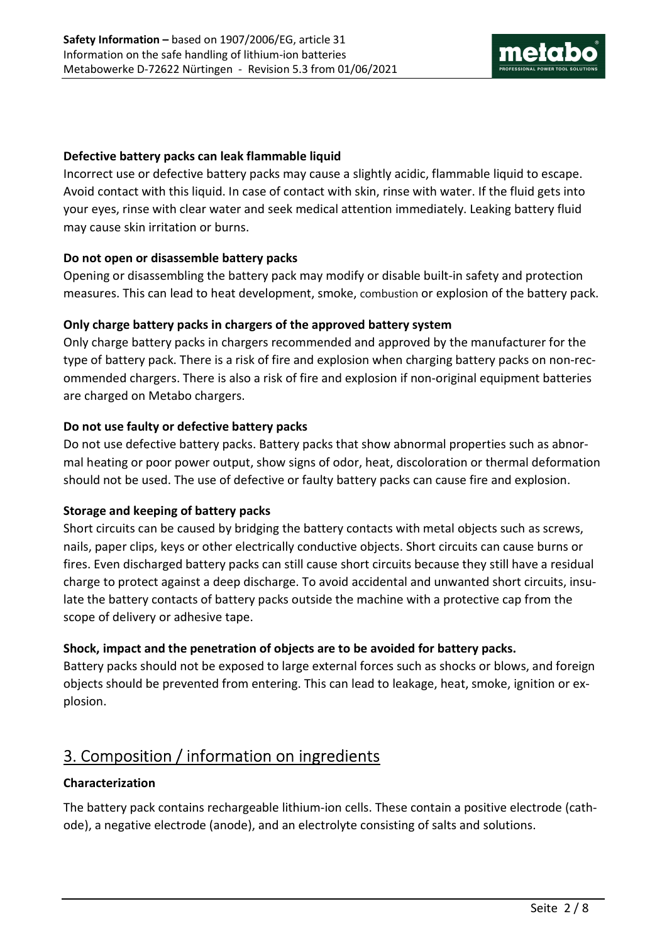

### Defective battery packs can leak flammable liquid

Incorrect use or defective battery packs may cause a slightly acidic, flammable liquid to escape. Avoid contact with this liquid. In case of contact with skin, rinse with water. If the fluid gets into your eyes, rinse with clear water and seek medical attention immediately. Leaking battery fluid may cause skin irritation or burns.

### Do not open or disassemble battery packs

Opening or disassembling the battery pack may modify or disable built-in safety and protection measures. This can lead to heat development, smoke, combustion or explosion of the battery pack.

### Only charge battery packs in chargers of the approved battery system

Only charge battery packs in chargers recommended and approved by the manufacturer for the type of battery pack. There is a risk of fire and explosion when charging battery packs on non-recommended chargers. There is also a risk of fire and explosion if non-original equipment batteries are charged on Metabo chargers.

### Do not use faulty or defective battery packs

Do not use defective battery packs. Battery packs that show abnormal properties such as abnormal heating or poor power output, show signs of odor, heat, discoloration or thermal deformation should not be used. The use of defective or faulty battery packs can cause fire and explosion.

### Storage and keeping of battery packs

Short circuits can be caused by bridging the battery contacts with metal objects such as screws, nails, paper clips, keys or other electrically conductive objects. Short circuits can cause burns or fires. Even discharged battery packs can still cause short circuits because they still have a residual charge to protect against a deep discharge. To avoid accidental and unwanted short circuits, insulate the battery contacts of battery packs outside the machine with a protective cap from the scope of delivery or adhesive tape.

### Shock, impact and the penetration of objects are to be avoided for battery packs.

Battery packs should not be exposed to large external forces such as shocks or blows, and foreign objects should be prevented from entering. This can lead to leakage, heat, smoke, ignition or explosion.

## 3. Composition / information on ingredients

## Characterization

The battery pack contains rechargeable lithium-ion cells. These contain a positive electrode (cathode), a negative electrode (anode), and an electrolyte consisting of salts and solutions.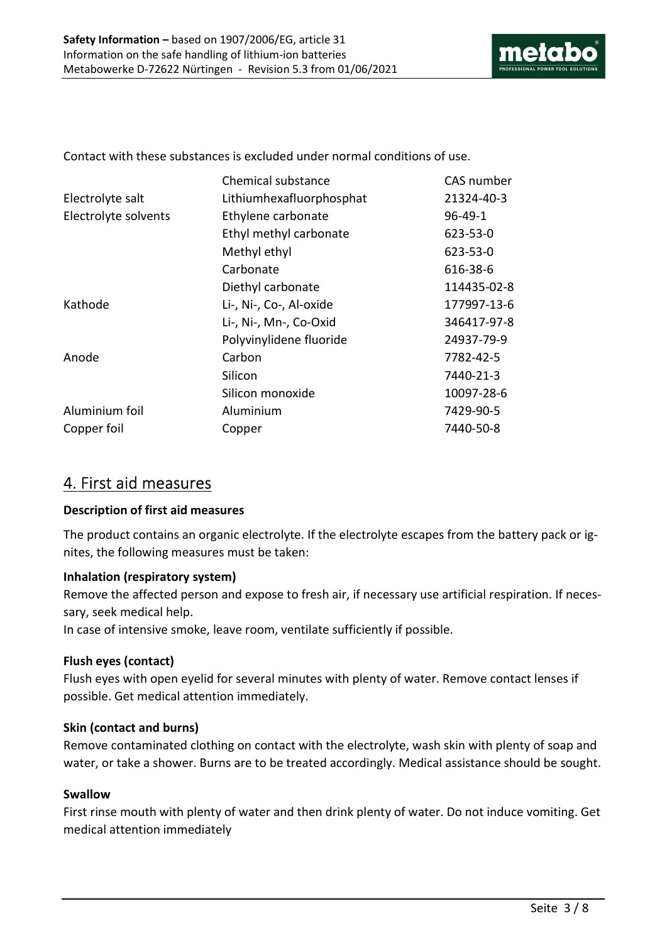

Contact with these substances is excluded under normal conditions of use.

|                      | Chemical substance       | CAS number    |
|----------------------|--------------------------|---------------|
| Electrolyte salt     | Lithiumhexafluorphosphat | 21324-40-3    |
| Electrolyte solvents | Ethylene carbonate       | $96 - 49 - 1$ |
|                      | Ethyl methyl carbonate   | 623-53-0      |
|                      | Methyl ethyl             | 623-53-0      |
|                      | Carbonate                | 616-38-6      |
|                      | Diethyl carbonate        | 114435-02-8   |
| Kathode              | Li-, Ni-, Co-, Al-oxide  | 177997-13-6   |
|                      | Li-, Ni-, Mn-, Co-Oxid   | 346417-97-8   |
|                      | Polyvinylidene fluoride  | 24937-79-9    |
| Anode                | Carbon                   | 7782-42-5     |
|                      | Silicon                  | 7440-21-3     |
|                      | Silicon monoxide         | 10097-28-6    |
| Aluminium foil       | Aluminium                | 7429-90-5     |
| Copper foil          | Copper                   | 7440-50-8     |

## 4. First aid measures

### Description of first aid measures

The product contains an organic electrolyte. If the electrolyte escapes from the battery pack or ignites, the following measures must be taken:

## Inhalation (respiratory system)

Remove the affected person and expose to fresh air, if necessary use artificial respiration. If necessary, seek medical help.

In case of intensive smoke, leave room, ventilate sufficiently if possible.

## Flush eyes (contact)

Flush eyes with open eyelid for several minutes with plenty of water. Remove contact lenses if possible. Get medical attention immediately.

## Skin (contact and burns)

Remove contaminated clothing on contact with the electrolyte, wash skin with plenty of soap and water, or take a shower. Burns are to be treated accordingly. Medical assistance should be sought.

### Swallow

First rinse mouth with plenty of water and then drink plenty of water. Do not induce vomiting. Get medical attention immediately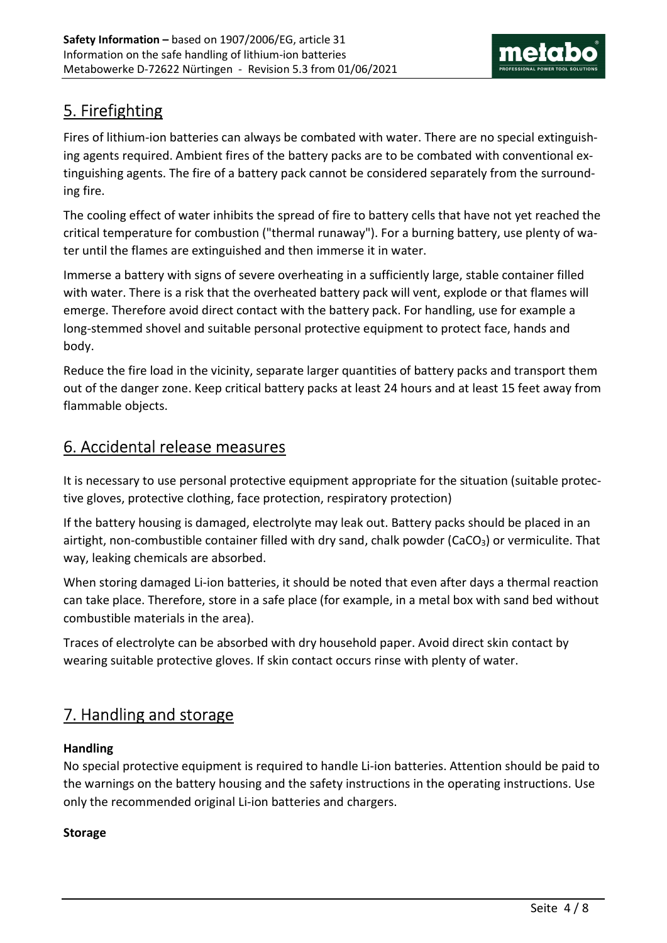

# 5. Firefighting

Fires of lithium-ion batteries can always be combated with water. There are no special extinguishing agents required. Ambient fires of the battery packs are to be combated with conventional extinguishing agents. The fire of a battery pack cannot be considered separately from the surrounding fire.

The cooling effect of water inhibits the spread of fire to battery cells that have not yet reached the critical temperature for combustion ("thermal runaway"). For a burning battery, use plenty of water until the flames are extinguished and then immerse it in water.

Immerse a battery with signs of severe overheating in a sufficiently large, stable container filled with water. There is a risk that the overheated battery pack will vent, explode or that flames will emerge. Therefore avoid direct contact with the battery pack. For handling, use for example a long-stemmed shovel and suitable personal protective equipment to protect face, hands and body.

Reduce the fire load in the vicinity, separate larger quantities of battery packs and transport them out of the danger zone. Keep critical battery packs at least 24 hours and at least 15 feet away from flammable objects.

# 6. Accidental release measures

It is necessary to use personal protective equipment appropriate for the situation (suitable protective gloves, protective clothing, face protection, respiratory protection)

If the battery housing is damaged, electrolyte may leak out. Battery packs should be placed in an airtight, non-combustible container filled with dry sand, chalk powder (CaCO<sub>3</sub>) or vermiculite. That way, leaking chemicals are absorbed.

When storing damaged Li-ion batteries, it should be noted that even after days a thermal reaction can take place. Therefore, store in a safe place (for example, in a metal box with sand bed without combustible materials in the area).

Traces of electrolyte can be absorbed with dry household paper. Avoid direct skin contact by wearing suitable protective gloves. If skin contact occurs rinse with plenty of water.

# 7. Handling and storage

## Handling

No special protective equipment is required to handle Li-ion batteries. Attention should be paid to the warnings on the battery housing and the safety instructions in the operating instructions. Use only the recommended original Li-ion batteries and chargers.

## Storage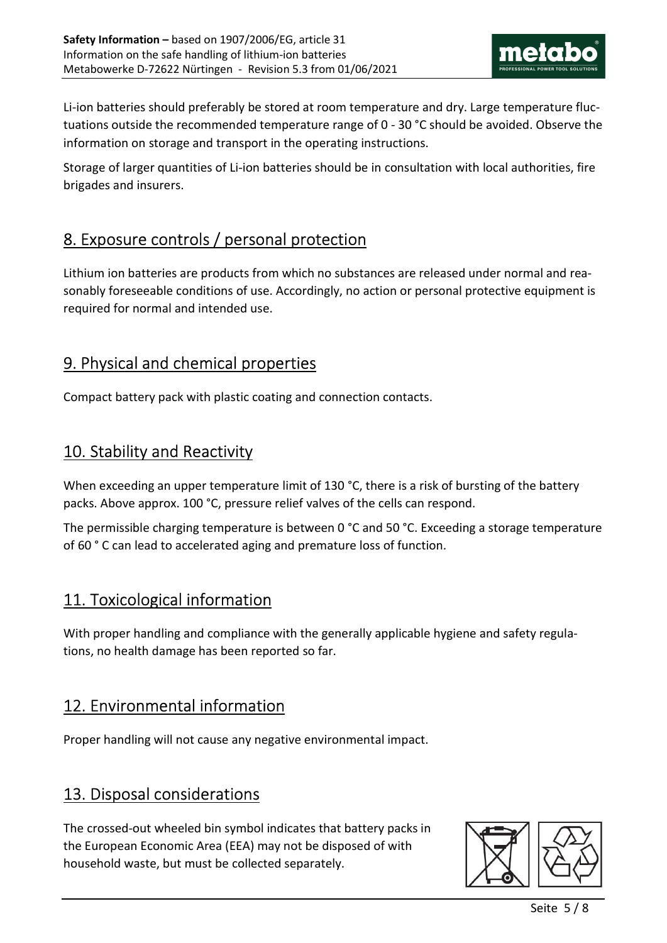

Li-ion batteries should preferably be stored at room temperature and dry. Large temperature fluctuations outside the recommended temperature range of 0 - 30 °C should be avoided. Observe the information on storage and transport in the operating instructions.

Storage of larger quantities of Li-ion batteries should be in consultation with local authorities, fire brigades and insurers.

# 8. Exposure controls / personal protection

Lithium ion batteries are products from which no substances are released under normal and reasonably foreseeable conditions of use. Accordingly, no action or personal protective equipment is required for normal and intended use.

## 9. Physical and chemical properties

Compact battery pack with plastic coating and connection contacts.

# 10. Stability and Reactivity

When exceeding an upper temperature limit of 130 °C, there is a risk of bursting of the battery packs. Above approx. 100 °C, pressure relief valves of the cells can respond.

The permissible charging temperature is between 0 °C and 50 °C. Exceeding a storage temperature of 60 ° C can lead to accelerated aging and premature loss of function.

## 11. Toxicological information

With proper handling and compliance with the generally applicable hygiene and safety regulations, no health damage has been reported so far.

## 12. Environmental information

Proper handling will not cause any negative environmental impact.

# 13. Disposal considerations

The crossed-out wheeled bin symbol indicates that battery packs in the European Economic Area (EEA) may not be disposed of with household waste, but must be collected separately.

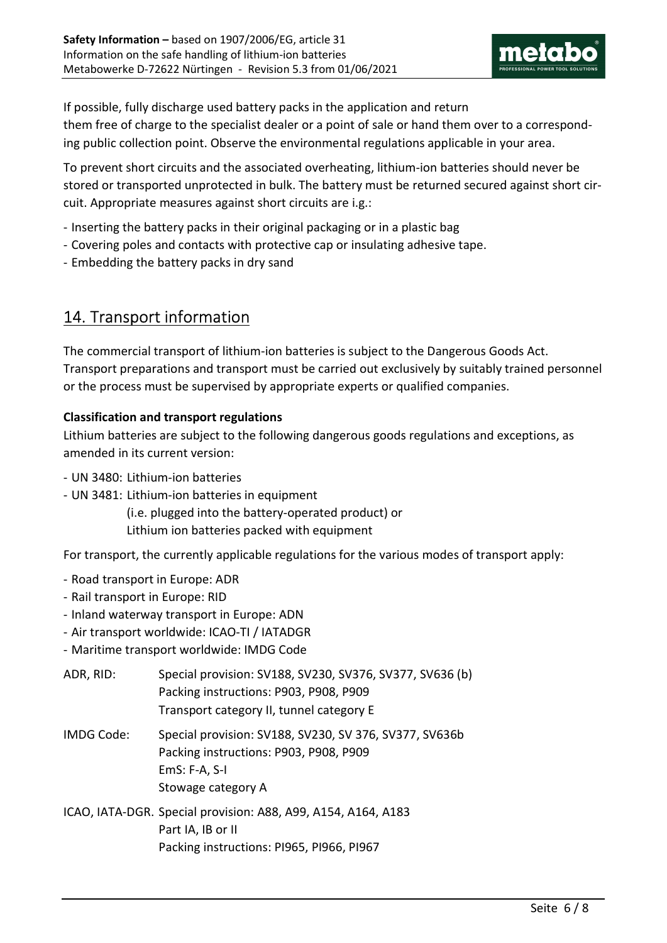

If possible, fully discharge used battery packs in the application and return them free of charge to the specialist dealer or a point of sale or hand them over to a corresponding public collection point. Observe the environmental regulations applicable in your area.

To prevent short circuits and the associated overheating, lithium-ion batteries should never be stored or transported unprotected in bulk. The battery must be returned secured against short circuit. Appropriate measures against short circuits are i.g.:

- Inserting the battery packs in their original packaging or in a plastic bag
- Covering poles and contacts with protective cap or insulating adhesive tape.
- Embedding the battery packs in dry sand

## 14. Transport information

The commercial transport of lithium-ion batteries is subject to the Dangerous Goods Act. Transport preparations and transport must be carried out exclusively by suitably trained personnel or the process must be supervised by appropriate experts or qualified companies.

### Classification and transport regulations

Lithium batteries are subject to the following dangerous goods regulations and exceptions, as amended in its current version:

- UN 3480: Lithium-ion batteries
- UN 3481: Lithium-ion batteries in equipment

 (i.e. plugged into the battery-operated product) or Lithium ion batteries packed with equipment

For transport, the currently applicable regulations for the various modes of transport apply:

- Road transport in Europe: ADR
- Rail transport in Europe: RID
- Inland waterway transport in Europe: ADN
- Air transport worldwide: ICAO-TI / IATADGR
- Maritime transport worldwide: IMDG Code

| ADR, RID:         | Special provision: SV188, SV230, SV376, SV377, SV636 (b)<br>Packing instructions: P903, P908, P909<br>Transport category II, tunnel category E |
|-------------------|------------------------------------------------------------------------------------------------------------------------------------------------|
| <b>IMDG Code:</b> | Special provision: SV188, SV230, SV 376, SV377, SV636b<br>Packing instructions: P903, P908, P909<br>$EmS: F-A, S-I$<br>Stowage category A      |
|                   | ICAO, IATA-DGR. Special provision: A88, A99, A154, A164, A183<br>Part IA, IB or II                                                             |

Packing instructions: PI965, PI966, PI967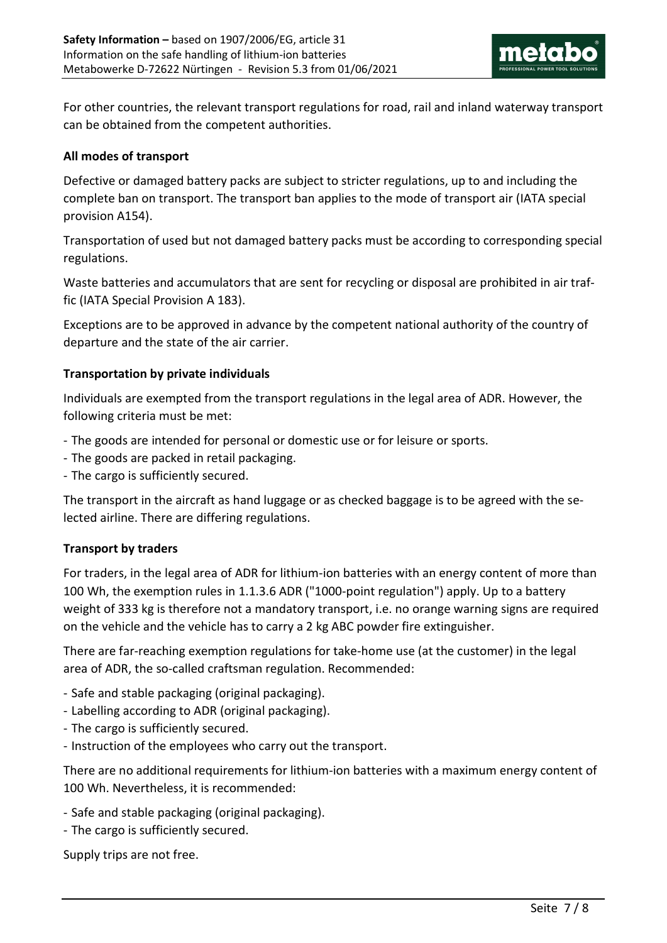

For other countries, the relevant transport regulations for road, rail and inland waterway transport can be obtained from the competent authorities.

### All modes of transport

Defective or damaged battery packs are subject to stricter regulations, up to and including the complete ban on transport. The transport ban applies to the mode of transport air (IATA special provision A154).

Transportation of used but not damaged battery packs must be according to corresponding special regulations.

Waste batteries and accumulators that are sent for recycling or disposal are prohibited in air traffic (IATA Special Provision A 183).

Exceptions are to be approved in advance by the competent national authority of the country of departure and the state of the air carrier.

### Transportation by private individuals

Individuals are exempted from the transport regulations in the legal area of ADR. However, the following criteria must be met:

- The goods are intended for personal or domestic use or for leisure or sports.
- The goods are packed in retail packaging.
- The cargo is sufficiently secured.

The transport in the aircraft as hand luggage or as checked baggage is to be agreed with the selected airline. There are differing regulations.

### Transport by traders

For traders, in the legal area of ADR for lithium-ion batteries with an energy content of more than 100 Wh, the exemption rules in 1.1.3.6 ADR ("1000-point regulation") apply. Up to a battery weight of 333 kg is therefore not a mandatory transport, i.e. no orange warning signs are required on the vehicle and the vehicle has to carry a 2 kg ABC powder fire extinguisher.

There are far-reaching exemption regulations for take-home use (at the customer) in the legal area of ADR, the so-called craftsman regulation. Recommended:

- Safe and stable packaging (original packaging).
- Labelling according to ADR (original packaging).
- The cargo is sufficiently secured.
- Instruction of the employees who carry out the transport.

There are no additional requirements for lithium-ion batteries with a maximum energy content of 100 Wh. Nevertheless, it is recommended:

- Safe and stable packaging (original packaging).
- The cargo is sufficiently secured.

Supply trips are not free.